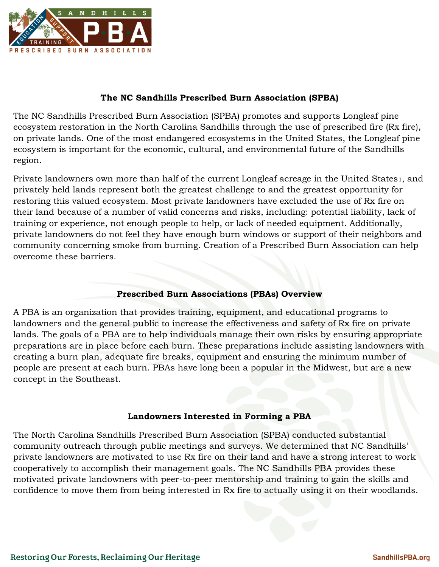

# **The NC Sandhills Prescribed Burn Association (SPBA)**

The NC Sandhills Prescribed Burn Association (SPBA) promotes and supports Longleaf pine ecosystem restoration in the North Carolina Sandhills through the use of prescribed fire (Rx fire), on private lands. One of the most endangered ecosystems in the United States, the Longleaf pine ecosystem is important for the economic, cultural, and environmental future of the Sandhills region.

Private landowners own more than half of the current Longleaf acreage in the United States1, and privately held lands represent both the greatest challenge to and the greatest opportunity for restoring this valued ecosystem. Most private landowners have excluded the use of Rx fire on their land because of a number of valid concerns and risks, including: potential liability, lack of training or experience, not enough people to help, or lack of needed equipment. Additionally, private landowners do not feel they have enough burn windows or support of their neighbors and community concerning smoke from burning. Creation of a Prescribed Burn Association can help overcome these barriers.

## **Prescribed Burn Associations (PBAs) Overview**

A PBA is an organization that provides training, equipment, and educational programs to landowners and the general public to increase the effectiveness and safety of Rx fire on private lands. The goals of a PBA are to help individuals manage their own risks by ensuring appropriate preparations are in place before each burn. These preparations include assisting landowners with creating a burn plan, adequate fire breaks, equipment and ensuring the minimum number of people are present at each burn. PBAs have long been a popular in the Midwest, but are a new concept in the Southeast.

### **Landowners Interested in Forming a PBA**

The North Carolina Sandhills Prescribed Burn Association (SPBA) conducted substantial community outreach through public meetings and surveys. We determined that NC Sandhills' private landowners are motivated to use Rx fire on their land and have a strong interest to work cooperatively to accomplish their management goals. The NC Sandhills PBA provides these motivated private landowners with peer-to-peer mentorship and training to gain the skills and confidence to move them from being interested in Rx fire to actually using it on their woodlands.